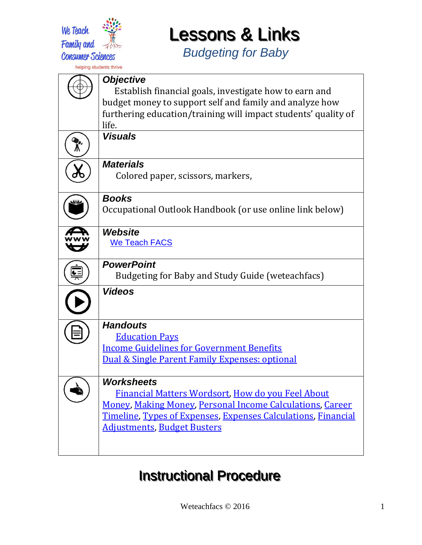

*Budgeting for Baby*

| <b>Objective</b>                                                                                                  |
|-------------------------------------------------------------------------------------------------------------------|
| Establish financial goals, investigate how to earn and<br>budget money to support self and family and analyze how |
| furthering education/training will impact students' quality of                                                    |
| life.                                                                                                             |
| <b>Visuals</b>                                                                                                    |
| <b>Materials</b><br>Colored paper, scissors, markers,                                                             |
|                                                                                                                   |
| <b>Books</b>                                                                                                      |
| Occupational Outlook Handbook (or use online link below)                                                          |
| <b>Website</b>                                                                                                    |
| <b>We Teach FACS</b>                                                                                              |
| <b>PowerPoint</b>                                                                                                 |
| Budgeting for Baby and Study Guide (weteachfacs)                                                                  |
| <b>Videos</b>                                                                                                     |
|                                                                                                                   |
| <b>Handouts</b>                                                                                                   |
| <b>Education Pays</b>                                                                                             |
| <b>Income Guidelines for Government Benefits</b><br>Dual & Single Parent Family Expenses: optional                |
|                                                                                                                   |
| <b>Worksheets</b>                                                                                                 |
| <u>Financial Matters Wordsort, How do you Feel About</u>                                                          |
| <b>Money, Making Money, Personal Income Calculations, Career</b>                                                  |
| Timeline, Types of Expenses, Expenses Calculations, Financial                                                     |
| <u> Adjustments, Budget Busters</u>                                                                               |
|                                                                                                                   |

### **Instructional Procedure**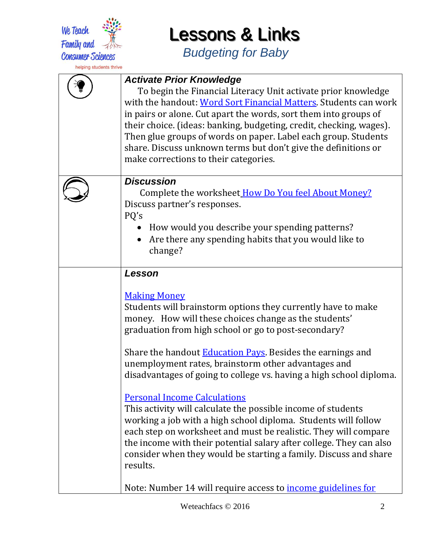

*Budgeting for Baby*

| <b>Activate Prior Knowledge</b><br>To begin the Financial Literacy Unit activate prior knowledge<br>with the handout: Word Sort Financial Matters. Students can work<br>in pairs or alone. Cut apart the words, sort them into groups of<br>their choice. (ideas: banking, budgeting, credit, checking, wages).<br>Then glue groups of words on paper. Label each group. Students<br>share. Discuss unknown terms but don't give the definitions or<br>make corrections to their categories. |
|----------------------------------------------------------------------------------------------------------------------------------------------------------------------------------------------------------------------------------------------------------------------------------------------------------------------------------------------------------------------------------------------------------------------------------------------------------------------------------------------|
| <b>Discussion</b><br>Complete the worksheet How Do You feel About Money?<br>Discuss partner's responses.<br>PQ's<br>How would you describe your spending patterns?<br>Are there any spending habits that you would like to<br>change?                                                                                                                                                                                                                                                        |
| Lesson                                                                                                                                                                                                                                                                                                                                                                                                                                                                                       |
| <b>Making Money</b><br>Students will brainstorm options they currently have to make<br>money. How will these choices change as the students'<br>graduation from high school or go to post-secondary?<br>Share the handout <b>Education Pays</b> . Besides the earnings and<br>unemployment rates, brainstorm other advantages and<br>disadvantages of going to college vs. having a high school diploma.                                                                                     |
| <b>Personal Income Calculations</b><br>This activity will calculate the possible income of students<br>working a job with a high school diploma. Students will follow<br>each step on worksheet and must be realistic. They will compare<br>the income with their potential salary after college. They can also<br>consider when they would be starting a family. Discuss and share<br>results.                                                                                              |
| Note: Number 14 will require access to <b>income guidelines for</b>                                                                                                                                                                                                                                                                                                                                                                                                                          |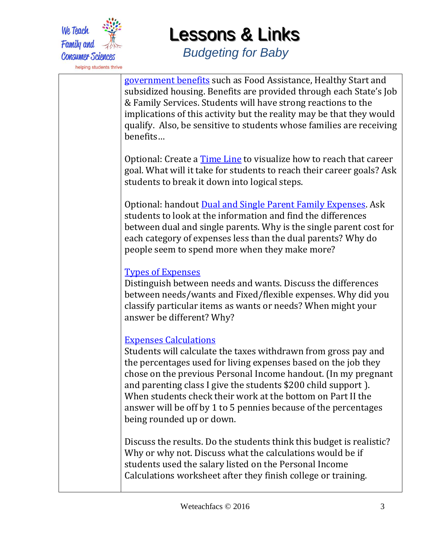

*Budgeting for Baby*

[government benefits](https://drive.google.com/file/d/0B7E2D6ektrSHcDJ1UXpwaEE0NDQ/view?usp=sharing) such as Food Assistance, Healthy Start and subsidized housing. Benefits are provided through each State's Job & Family Services. Students will have strong reactions to the implications of this activity but the reality may be that they would qualify. Also, be sensitive to students whose families are receiving benefits…

Optional: Create a [Time Line](https://drive.google.com/file/d/0B7E2D6ektrSHZTk5ZjY2NGMtOWQxYy00MTljLThhMDQtZjhkM2NiYzkwYzc2/view?usp=sharing) to visualize how to reach that career goal. What will it take for students to reach their career goals? Ask students to break it down into logical steps.

Optional: handout [Dual and Single Parent Family Expenses.](https://drive.google.com/file/d/0B7E2D6ektrSHNlVXNEtWaFZwZGM/view?usp=sharing) Ask students to look at the information and find the differences between dual and single parents. Why is the single parent cost for each category of expenses less than the dual parents? Why do people seem to spend more when they make more?

#### [Types of Expenses](https://drive.google.com/file/d/0B7E2D6ektrSHT1JKT2dSV2loMTg/view?usp=sharing)

Distinguish between needs and wants. Discuss the differences between needs/wants and Fixed/flexible expenses. Why did you classify particular items as wants or needs? When might your answer be different? Why?

#### [Expenses Calculations](https://drive.google.com/file/d/0B7E2D6ektrSHWHZXY2tjdzFjakk/view?usp=sharing)

Students will calculate the taxes withdrawn from gross pay and the percentages used for living expenses based on the job they chose on the previous Personal Income handout. (In my pregnant and parenting class I give the students \$200 child support ). When students check their work at the bottom on Part II the answer will be off by 1 to 5 pennies because of the percentages being rounded up or down.

Discuss the results. Do the students think this budget is realistic? Why or why not. Discuss what the calculations would be if students used the salary listed on the Personal Income Calculations worksheet after they finish college or training.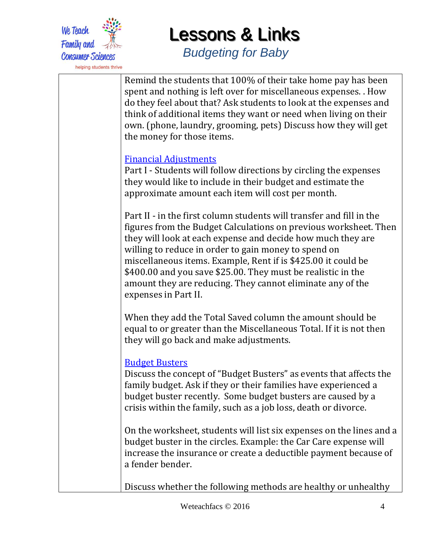

*Budgeting for Baby*

Remind the students that 100% of their take home pay has been spent and nothing is left over for miscellaneous expenses. . How do they feel about that? Ask students to look at the expenses and think of additional items they want or need when living on their own. (phone, laundry, grooming, pets) Discuss how they will get the money for those items.

#### [Financial Adjustments](https://drive.google.com/file/d/0B7E2D6ektrSHY2FNTkFhQjY1MXc/view?usp=sharing)

Part I - Students will follow directions by circling the expenses they would like to include in their budget and estimate the approximate amount each item will cost per month.

Part II - in the first column students will transfer and fill in the figures from the Budget Calculations on previous worksheet. Then they will look at each expense and decide how much they are willing to reduce in order to gain money to spend on miscellaneous items. Example, Rent if is \$425.00 it could be \$400.00 and you save \$25.00. They must be realistic in the amount they are reducing. They cannot eliminate any of the expenses in Part II.

When they add the Total Saved column the amount should be equal to or greater than the Miscellaneous Total. If it is not then they will go back and make adjustments.

#### [Budget Busters](https://drive.google.com/file/d/0B7E2D6ektrSHQkJmbTROQl9GdEE/view?usp=sharing)

Discuss the concept of "Budget Busters" as events that affects the family budget. Ask if they or their families have experienced a budget buster recently. Some budget busters are caused by a crisis within the family, such as a job loss, death or divorce.

On the worksheet, students will list six expenses on the lines and a budget buster in the circles. Example: the Car Care expense will increase the insurance or create a deductible payment because of a fender bender.

Discuss whether the following methods are healthy or unhealthy